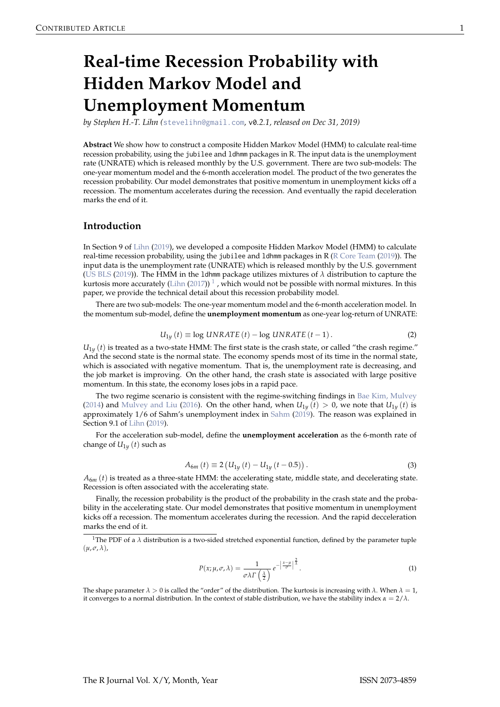# <span id="page-0-0"></span>**Real-time Recession Probability with Hidden Markov Model and Unemployment Momentum**

*by Stephen H.-T. Lihn (*[stevelihn@gmail.com](mailto:stevelihn@gmail.com)*,* v0*.2.1, released on Dec 31, 2019)*

**Abstract** We show how to construct a composite Hidden Markov Model (HMM) to calculate real-time recession probability, using the jubilee and ldhmm packages in R. The input data is the unemployment rate (UNRATE) which is released monthly by the U.S. government. There are two sub-models: The one-year momentum model and the 6-month acceleration model. The product of the two generates the recession probability. Our model demonstrates that positive momentum in unemployment kicks off a recession. The momentum accelerates during the recession. And eventually the rapid deceleration marks the end of it.

#### **Introduction**

In Section 9 of [Lihn](#page-6-0) [\(2019\)](#page-6-0), we developed a composite Hidden Markov Model (HMM) to calculate real-time recession probability, using the jubilee and ldhmm packages in R [\(R Core Team](#page-6-1) [\(2019\)](#page-6-1)). The input data is the unemployment rate (UNRATE) which is released monthly by the U.S. government [\(US BLS](#page-6-2) [\(2019\)](#page-6-2)). The HMM in the ldhmm package utilizes mixtures of *λ* distribution to capture the kurtosis more accurately [\(Lihn](#page-6-3) [\(2017\)](#page-6-3))  $^1$  , which would not be possible with normal mixtures. In this paper, we provide the technical detail about this recession probability model.

There are two sub-models: The one-year momentum model and the 6-month acceleration model. In the momentum sub-model, define the **unemployment momentum** as one-year log-return of UNRATE:

$$
U_{1y}(t) \equiv \log UNRATE(t) - \log UNRATE(t-1). \tag{2}
$$

 $U_{1y}$  (*t*) is treated as a two-state HMM: The first state is the crash state, or called "the crash regime." And the second state is the normal state. The economy spends most of its time in the normal state, which is associated with negative momentum. That is, the unemployment rate is decreasing, and the job market is improving. On the other hand, the crash state is associated with large positive momentum. In this state, the economy loses jobs in a rapid pace.

The two regime scenario is consistent with the regime-switching findings in [Bae Kim, Mulvey](#page-6-4) [\(2014\)](#page-6-4) and [Mulvey and Liu](#page-6-5) [\(2016\)](#page-6-5). On the other hand, when  $U_{1y} (t) > 0$ , we note that  $U_{1y} (t)$  is approximately 1/6 of Sahm's unemployment index in [Sahm](#page-6-6) [\(2019\)](#page-6-6). The reason was explained in Section 9.1 of [Lihn](#page-6-0) [\(2019\)](#page-6-0).

For the acceleration sub-model, define the **unemployment acceleration** as the 6-month rate of change of  $U_{1y}$  (*t*) such as

$$
A_{6m}(t) \equiv 2(U_{1y}(t) - U_{1y}(t - 0.5)).
$$
\n(3)

 $A_{6m}$  (*t*) is treated as a three-state HMM: the accelerating state, middle state, and decelerating state. Recession is often associated with the accelerating state.

Finally, the recession probability is the product of the probability in the crash state and the probability in the accelerating state. Our model demonstrates that positive momentum in unemployment kicks off a recession. The momentum accelerates during the recession. And the rapid decceleration marks the end of it.

$$
P(x; \mu, \sigma, \lambda) = \frac{1}{\sigma \lambda \Gamma\left(\frac{\lambda}{2}\right)} e^{-\left|\frac{x-\mu}{\sigma}\right|^{\frac{2}{\lambda}}}.
$$
 (1)

The shape parameter  $\lambda > 0$  is called the "order" of the distribution. The kurtosis is increasing with  $\lambda$ . When  $\lambda = 1$ , it converges to a normal distribution. In the context of stable distribution, we have the stability index  $\alpha = 2/\lambda$ .

<sup>&</sup>lt;sup>1</sup>The PDF of a  $\lambda$  distribution is a two-sided stretched exponential function, defined by the parameter tuple (*µ*, *σ*, *λ*),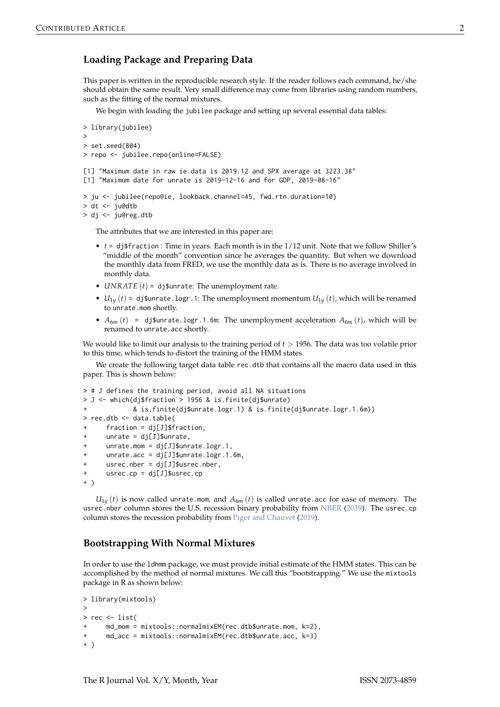# <span id="page-1-0"></span>**Loading Package and Preparing Data**

This paper is written in the reproducible research style. If the reader follows each command, he/she should obtain the same result. Very small difference may come from libraries using random numbers, such as the fitting of the normal mixtures.

We begin with loading the jubilee package and setting up several essential data tables:

```
> library(jubilee)
>
> set.seed(804)
> repo <- jubilee.repo(online=FALSE)
[1] "Maximum date in raw ie.data is 2019.12 and SPX average at 3223.38"
[1] "Maximum date for unrate is 2019-12-16 and for GDP, 2019-08-16"
> ju <- jubilee(repo@ie, lookback.channel=45, fwd.rtn.duration=10)
> dt <- ju@dtb
> dj <- ju@reg.dtb
```
The attributes that we are interested in this paper are:

- *t* = dj\$fraction : Time in years. Each month is in the 1/12 unit. Note that we follow Shiller's "middle of the month" convention since he averages the quantity. But when we download the monthly data from FRED, we use the monthly data as is. There is no average involved in monthly data.
- *UNRATE* (*t*) = dj\$unrate: The unemployment rate.
- $U_{1y}$  (*t*) = dj\$unrate.logr.1: The unemployment momentum  $U_{1y}$  (*t*), which will be renamed to unrate.mom shortly.
- $A_{6m}(t)$  = dj\$unrate.logr.1.6m: The unemployment acceleration  $A_{6m}(t)$ , which will be renamed to unrate.acc shortly.

We would like to limit our analysis to the training period of *t* > 1956. The data was too volatile prior to this time, which tends to distort the training of the HMM states.

We create the following target data table rec.dtb that contains all the macro data used in this paper. This is shown below:

```
> # J defines the training period, avoid all NA situations
> J <- which(dj$fraction > 1956 & is.finite(dj$unrate)
             + & is.finite(dj$unrate.logr.1) & is.finite(dj$unrate.logr.1.6m))
> rec.dtb <- data.table(
+ fraction = dj[J]$fraction,
     unrate = dj[J]$unrate,
     unrate.mom = dj[J]$unrate.logr.1,
     unrate.acc = dj[J]$unrate.logr.1.6m,
     usrec.nber = dj[J]$usrec.nber,
     usrec.cp = dj[J]$usrec.cp
+ )
```
 $U_{1y}$  (*t*) is now called unrate.mom, and  $A_{6m}$  (*t*) is called unrate.acc for ease of memory. The usrec.nber column stores the U.S. recession binary probability from [NBER](#page-6-7) [\(2019\)](#page-6-7). The usrec.cp column stores the recession probability from [Piger and Chauvet](#page-6-8) [\(2019\)](#page-6-8).

# **Bootstrapping With Normal Mixtures**

In order to use the ldhmm package, we must provide initial estimate of the HMM states. This can be accomplished by the method of normal mixtures. We call this "bootstrapping." We use the mixtools package in R as shown below:

```
> library(mixtools)
>
> rec <- list(
      md_mom = mixtools::normalmixEM(rec.dtb$unrate.mom, k=2),
      md\_acc = mixtools::normalmixEM(rec.dtb$unrate.acc, k=3)+ )
```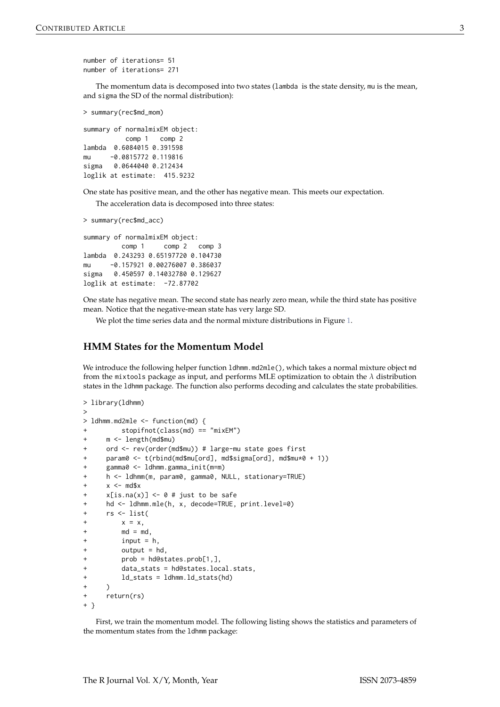```
number of iterations= 51
number of iterations= 271
```
The momentum data is decomposed into two states (lambda is the state density, mu is the mean, and sigma the SD of the normal distribution):

```
> summary(rec$md_mom)
```

```
summary of normalmixEM object:
          comp 1 comp 2
lambda 0.6084015 0.391598
mu -0.0815772 0.119816
sigma 0.0644040 0.212434
loglik at estimate: 415.9232
```
One state has positive mean, and the other has negative mean. This meets our expectation.

The acceleration data is decomposed into three states:

```
> summary(rec$md_acc)
```
summary of normalmixEM object: comp 1 comp 2 comp 3 lambda 0.243293 0.65197720 0.104730 mu -0.157921 0.00276007 0.386037 sigma 0.450597 0.14032780 0.129627 loglik at estimate: -72.87702

One state has negative mean. The second state has nearly zero mean, while the third state has positive mean. Notice that the negative-mean state has very large SD.

We plot the time series data and the normal mixture distributions in Figure [1.](#page-3-0)

### **HMM States for the Momentum Model**

We introduce the following helper function 1dhmm.md2mle(), which takes a normal mixture object md from the mixtools package as input, and performs MLE optimization to obtain the *λ* distribution states in the ldhmm package. The function also performs decoding and calculates the state probabilities.

```
> library(ldhmm)
\ddotmark> ldhmm.md2mle <- function(md) {
         + stopifnot(class(md) == "mixEM")
     m <- length(md$mu)
+ ord <- rev(order(md$mu)) # large-mu state goes first
     param0 <- t(rbind(md$mu[ord], md$sigma[ord], md$mu*0 + 1))
     + gamma0 <- ldhmm.gamma_init(m=m)
     h <- ldhmm(m, param0, gamma0, NULL, stationary=TRUE)
     x < - md$x
     x[i s, na(x)] \leq \theta \# just to be safe
     hd \leq 1dhmm.mle(h, x, decode=TRUE, print.level=0)
+ rs <- list(
+ x = x,
+ md = md,
+ input = h,
+ output = hd,
+ prob = hd@states.prob[1,],
+ data_stats = hd@states.local.stats,
+ ld_stats = ldhmm.ld_stats(hd)
     \lambdareturn(rs)+ }
```
First, we train the momentum model. The following listing shows the statistics and parameters of the momentum states from the ldhmm package: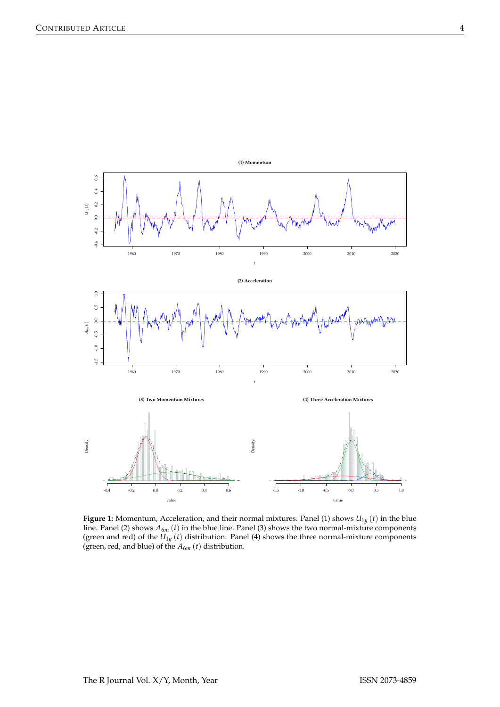<span id="page-3-0"></span>

**Figure 1:** Momentum, Acceleration, and their normal mixtures. Panel (1) shows  $U_{1y}$  (*t*) in the blue line. Panel (2) shows *A*6*<sup>m</sup>* (*t*) in the blue line. Panel (3) shows the two normal-mixture components (green and red) of the  $U_{1y}$  (*t*) distribution. Panel (4) shows the three normal-mixture components (green, red, and blue) of the  $A_{6m}(t)$  distribution.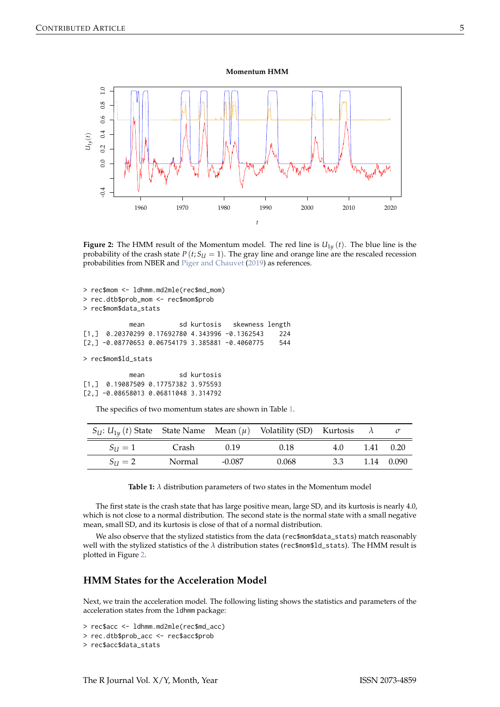**Momentum HMM**

<span id="page-4-2"></span><span id="page-4-1"></span>

**Figure 2:** The HMM result of the Momentum model. The red line is  $U_{1y}(t)$ . The blue line is the probability of the crash state  $P(t; S_U = 1)$ . The gray line and orange line are the rescaled recession probabilities from NBER and [Piger and Chauvet](#page-6-8) [\(2019\)](#page-6-8) as references.

```
> rec$mom <- ldhmm.md2mle(rec$md_mom)
> rec.dtb$prob_mom <- rec$mom$prob
> rec$mom$data_stats
           mean sd kurtosis skewness length
[1,] 0.20370299 0.17692780 4.343996 -0.1362543 224
[2,] -0.08770653 0.06754179 3.385881 -0.4060775 544
> rec$mom$ld_stats
           mean sd kurtosis
[1,] 0.19087509 0.17757382 3.975593
[2,] -0.08658013 0.06811048 3.314792
```
The specifics of two momentum states are shown in Table [1.](#page-4-0)

<span id="page-4-0"></span>

| $S_{U}: U_{1v}(t)$ State State Name Mean $(\mu)$ Volatility (SD) Kurtosis $\lambda$ |        |        |       |     |                    |
|-------------------------------------------------------------------------------------|--------|--------|-------|-----|--------------------|
| $S_{11} = 1$                                                                        | Crash  | 0.19   | 0.18  | 4.0 | $1.41 \qquad 0.20$ |
| $S_{11} = 2$                                                                        | Normal | -0.087 | 0.068 | 3.3 | 1.14 0.090         |

**Table 1:**  $\lambda$  distribution parameters of two states in the Momentum model

The first state is the crash state that has large positive mean, large SD, and its kurtosis is nearly 4.0, which is not close to a normal distribution. The second state is the normal state with a small negative mean, small SD, and its kurtosis is close of that of a normal distribution.

We also observe that the stylized statistics from the data (rec\$mom\$data\_stats) match reasonably well with the stylized statistics of the *λ* distribution states (rec\$mom\$ld\_stats). The HMM result is plotted in Figure [2.](#page-4-1)

## **HMM States for the Acceleration Model**

Next, we train the acceleration model. The following listing shows the statistics and parameters of the acceleration states from the ldhmm package:

```
> rec$acc <- ldhmm.md2mle(rec$md_acc)
```

```
> rec.dtb$prob_acc <- rec$acc$prob
```

```
> rec$acc$data_stats
```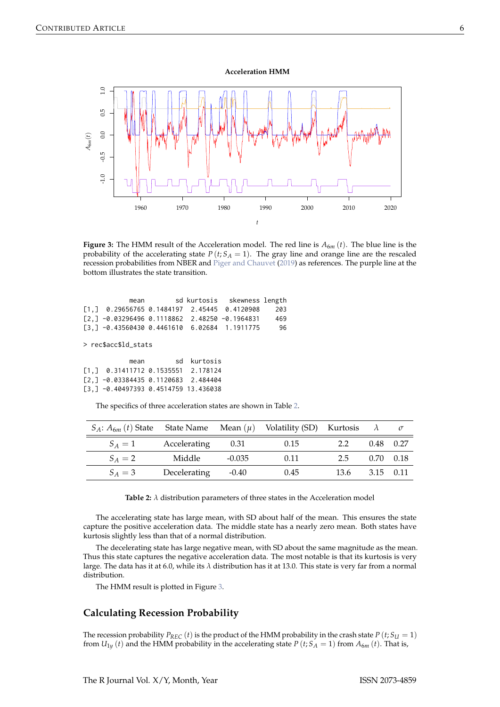**Acceleration HMM**

<span id="page-5-2"></span><span id="page-5-1"></span>

**Figure 3:** The HMM result of the Acceleration model. The red line is  $A_{6m}$  (*t*). The blue line is the probability of the accelerating state  $P(t; S_A = 1)$ . The gray line and orange line are the rescaled recession probabilities from NBER and [Piger and Chauvet](#page-6-8) [\(2019\)](#page-6-8) as references. The purple line at the bottom illustrates the state transition.

| mean                                                                     |  | sd kurtosis skewness length |     |
|--------------------------------------------------------------------------|--|-----------------------------|-----|
| $\begin{bmatrix} 1 \end{bmatrix}$ 0.29656765 0.1484197 2.45445 0.4120908 |  |                             | 203 |
| $\lceil 2.1 - 0.03296496 0.1118862 2.48250 - 0.1964831 \rceil$           |  |                             | 469 |
| $\lceil 3.1 - 0.43560430 \rceil$ 0.4461610 6.02684 1.1911775             |  |                             | 96  |
|                                                                          |  |                             |     |

> rec\$acc\$ld\_stats

| mean                                    | sd kurtosis |
|-----------------------------------------|-------------|
| $[1.]$ 0.31411712 0.1535551 2.178124    |             |
| $[2,] -0.03384435 0.1120683 2.484404$   |             |
| $[3, ] -0.40497393 0.4514759 13.436038$ |             |

The specifics of three acceleration states are shown in Table [2.](#page-5-0)

<span id="page-5-0"></span>

| $S_A$ : $A_{6m}(t)$ State State Name Mean $(\mu)$ Volatility (SD) Kurtosis $\lambda$ |                             |          |      |                    |             |  |
|--------------------------------------------------------------------------------------|-----------------------------|----------|------|--------------------|-------------|--|
|                                                                                      | $S_A = 1$ Accelerating 0.31 |          | 0.15 | 2.2                | $0.48$ 0.27 |  |
| $S_A = 2$                                                                            | Middle                      | $-0.035$ | 0.11 | 2.5 0.70 0.18      |             |  |
| $S_A = 3$                                                                            | Decelerating -0.40          |          | 0.45 | $13.6$ $3.15$ 0.11 |             |  |

**Table 2:** *λ* distribution parameters of three states in the Acceleration model

The accelerating state has large mean, with SD about half of the mean. This ensures the state capture the positive acceleration data. The middle state has a nearly zero mean. Both states have kurtosis slightly less than that of a normal distribution.

The decelerating state has large negative mean, with SD about the same magnitude as the mean. Thus this state captures the negative acceleration data. The most notable is that its kurtosis is very large. The data has it at 6.0, while its *λ* distribution has it at 13.0. This state is very far from a normal distribution.

The HMM result is plotted in Figure [3.](#page-5-1)

## **Calculating Recession Probability**

The recession probability  $P_{REC}$  (*t*) is the product of the HMM probability in the crash state  $P (t; S_U = 1)$ from  $U_{1y}$  (*t*) and the HMM probability in the accelerating state *P* (*t*; *S*<sub>*A*</sub> = 1) from  $A_{6m}$  (*t*). That is,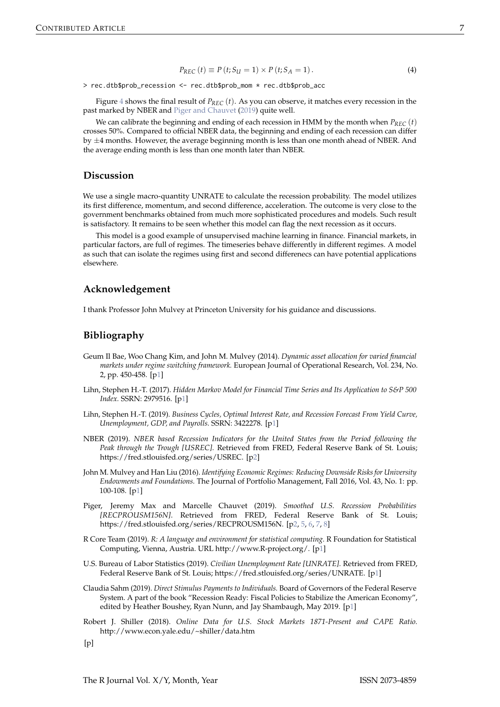$$
P_{REC}(t) \equiv P(t; S_U = 1) \times P(t; S_A = 1).
$$
\n(4)

<span id="page-6-9"></span>> rec.dtb\$prob\_recession <- rec.dtb\$prob\_mom \* rec.dtb\$prob\_acc

Figure [4](#page-7-0) shows the final result of *PREC* (*t*). As you can observe, it matches every recession in the past marked by NBER and [Piger and Chauvet](#page-6-8) [\(2019\)](#page-6-8) quite well.

We can calibrate the beginning and ending of each recession in HMM by the month when  $P_{REC}(t)$ crosses 50%. Compared to official NBER data, the beginning and ending of each recession can differ by  $\pm 4$  months. However, the average beginning month is less than one month ahead of NBER. And the average ending month is less than one month later than NBER.

### **Discussion**

We use a single macro-quantity UNRATE to calculate the recession probability. The model utilizes its first difference, momentum, and second difference, acceleration. The outcome is very close to the government benchmarks obtained from much more sophisticated procedures and models. Such result is satisfactory. It remains to be seen whether this model can flag the next recession as it occurs.

This model is a good example of unsupervised machine learning in finance. Financial markets, in particular factors, are full of regimes. The timeseries behave differently in different regimes. A model as such that can isolate the regimes using first and second differenecs can have potential applications elsewhere.

#### **Acknowledgement**

I thank Professor John Mulvey at Princeton University for his guidance and discussions.

#### **Bibliography**

- <span id="page-6-4"></span>Geum Il Bae, Woo Chang Kim, and John M. Mulvey (2014). *Dynamic asset allocation for varied financial markets under regime switching framework.* European Journal of Operational Research, Vol. 234, No. 2, pp. 450-458. [[p1\]](#page-0-0)
- <span id="page-6-3"></span>Lihn, Stephen H.-T. (2017). *Hidden Markov Model for Financial Time Series and Its Application to S&P 500 Index.* SSRN: 2979516. [[p1\]](#page-0-0)
- <span id="page-6-0"></span>Lihn, Stephen H.-T. (2019). *Business Cycles, Optimal Interest Rate, and Recession Forecast From Yield Curve, Unemployment, GDP, and Payrolls.* SSRN: 3422278. [[p1\]](#page-0-0)
- <span id="page-6-7"></span>NBER (2019). *NBER based Recession Indicators for the United States from the Period following the Peak through the Trough [USREC].* Retrieved from FRED, Federal Reserve Bank of St. Louis; https://fred.stlouisfed.org/series/USREC. [[p2\]](#page-1-0)
- <span id="page-6-5"></span>John M. Mulvey and Han Liu (2016). *Identifying Economic Regimes: Reducing Downside Risks for University Endowments and Foundations.* The Journal of Portfolio Management, Fall 2016, Vol. 43, No. 1: pp. 100-108. [[p1\]](#page-0-0)
- <span id="page-6-8"></span>Piger, Jeremy Max and Marcelle Chauvet (2019). *Smoothed U.S. Recession Probabilities [RECPROUSM156N]*. Retrieved from FRED, Federal Reserve Bank of St. Louis; https://fred.stlouisfed.org/series/RECPROUSM156N. [[p2,](#page-1-0) [5,](#page-4-2) [6,](#page-5-2) [7,](#page-6-9) [8\]](#page-7-1)
- <span id="page-6-1"></span>R Core Team (2019). *R: A language and environment for statistical computing.* R Foundation for Statistical Computing, Vienna, Austria. URL http://www.R-project.org/. [[p1\]](#page-0-0)
- <span id="page-6-2"></span>U.S. Bureau of Labor Statistics (2019). *Civilian Unemployment Rate [UNRATE].* Retrieved from FRED, Federal Reserve Bank of St. Louis; https://fred.stlouisfed.org/series/UNRATE. [[p1\]](#page-0-0)
- <span id="page-6-6"></span>Claudia Sahm (2019). *Direct Stimulus Payments to Individuals.* Board of Governors of the Federal Reserve System. A part of the book "Recession Ready: Fiscal Policies to Stabilize the American Economy", edited by Heather Boushey, Ryan Nunn, and Jay Shambaugh, May 2019. [[p1\]](#page-0-0)
- Robert J. Shiller (2018). *Online Data for U.S. Stock Markets 1871-Present and CAPE Ratio.* http://www.econ.yale.edu/~shiller/data.htm

 $[p]$